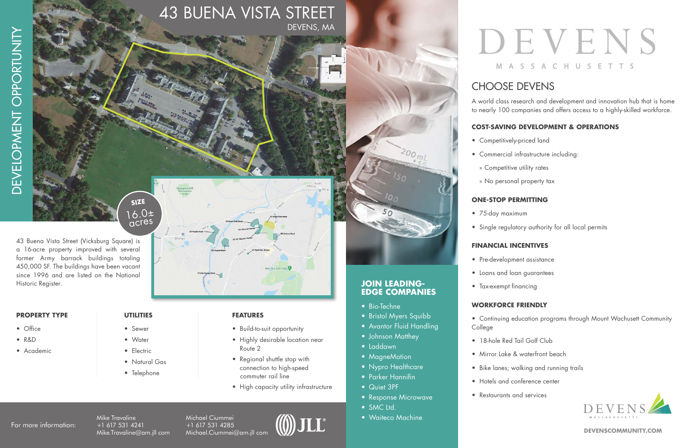# **SIZE**  $16.0<sub>±</sub>$  acres

Shir

43 Buena Vista Street (Vicksburg Square) is a 16-acre property improved with several former Army barrack buildings totaling 450,000 SF. The buildings have been vacant since 1996 and are listed on the National Historic Register.

### **PROPERTY TYPE**

- Office
- R&D
- **Academic**

### **UTILITIES**

- Sewer
- **Water**
- Electric
- Natural Gas
- Telephone

### **FEATURES**

43 BUENA VISTA STREET

DEVENS, MA

- Build-to-suit opportunity
- Highly desirable location near Route 2

Red Tail Golf Club

- Regional shuttle stop with connection to high-speed
- commuter rail line High capacity utility infrastructure

For more information:

Mike Travaline +1 617 531 4241 Mike.Travaline@am.jll com Michael Ciummei +1 617 531 4285 Michael.Ciummei@am.jll com